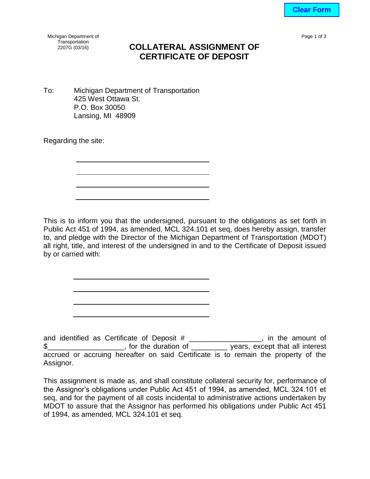**Clear Form**

Page 1 of 3

Michigan Department of Transportation<br>2207G (03/16)

## **COLLATERAL ASSIGNMENT OF CERTIFICATE OF DEPOSIT**

To: Michigan Department of Transportation 425 West Ottawa St. P.O. Box 30050 Lansing, MI 48909

Regarding the site:

This is to inform you that the undersigned, pursuant to the obligations as set forth in Public Act 451 of 1994, as amended, MCL 324.101 et seq, does hereby assign, transfer to, and pledge with the Director of the Michigan Department of Transportation (MDOT) all right, title, and interest of the undersigned in and to the Certificate of Deposit issued by or carried with:

and identified as Certificate of Deposit # \_\_\_\_\_\_\_\_\_\_\_\_\_\_\_\_, in the amount of \$\_\_\_\_\_\_\_\_\_\_\_\_\_\_\_\_\_\_\_, for the duration of \_\_\_\_\_\_\_\_\_ years, except that all interest accrued or accruing hereafter on said Certificate is to remain the property of the Assignor.

This assignment is made as, and shall constitute collateral security for, performance of the Assignor's obligations under Public Act 451 of 1994, as amended, MCL 324.101 et seq, and for the payment of all costs incidental to administrative actions undertaken by MDOT to assure that the Assignor has performed his obligations under Public Act 451 of 1994, as amended, MCL 324.101 et seq.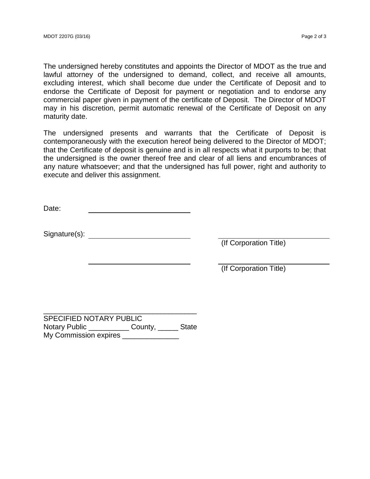The undersigned hereby constitutes and appoints the Director of MDOT as the true and lawful attorney of the undersigned to demand, collect, and receive all amounts, excluding interest, which shall become due under the Certificate of Deposit and to endorse the Certificate of Deposit for payment or negotiation and to endorse any commercial paper given in payment of the certificate of Deposit. The Director of MDOT may in his discretion, permit automatic renewal of the Certificate of Deposit on any maturity date.

The undersigned presents and warrants that the Certificate of Deposit is contemporaneously with the execution hereof being delivered to the Director of MDOT; that the Certificate of deposit is genuine and is in all respects what it purports to be; that the undersigned is the owner thereof free and clear of all liens and encumbrances of any nature whatsoever; and that the undersigned has full power, right and authority to execute and deliver this assignment.

Date:

Signature(s):

(If Corporation Title)

(If Corporation Title)

SPECIFIED NOTARY PUBLIC Notary Public \_\_\_\_\_\_\_\_\_\_\_\_\_\_ County, \_\_\_\_\_\_\_ State My Commission expires \_\_\_\_\_\_\_\_\_\_\_\_\_\_\_\_\_

\_\_\_\_\_\_\_\_\_\_\_\_\_\_\_\_\_\_\_\_\_\_\_\_\_\_\_\_\_\_\_\_\_\_\_\_\_\_